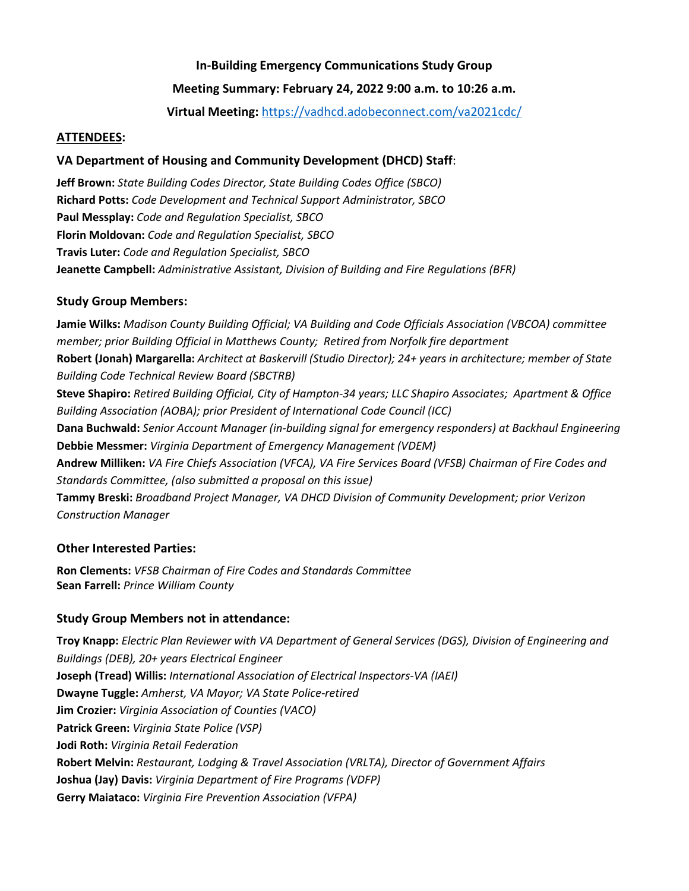## **In-Building Emergency Communications Study Group**

## **Meeting Summary: February 24, 2022 9:00 a.m. to 10:26 a.m.**

**Virtual Meeting:** <https://vadhcd.adobeconnect.com/va2021cdc/>

#### **ATTENDEES:**

## **VA Department of Housing and Community Development (DHCD) Staff**:

**Jeff Brown:** *State Building Codes Director, State Building Codes Office (SBCO)* **Richard Potts:** *Code Development and Technical Support Administrator, SBCO* **Paul Messplay:** *Code and Regulation Specialist, SBCO* **Florin Moldovan:** *Code and Regulation Specialist, SBCO* **Travis Luter:** *Code and Regulation Specialist, SBCO* **Jeanette Campbell:** *Administrative Assistant, Division of Building and Fire Regulations (BFR)*

## **Study Group Members:**

**Jamie Wilks:** *Madison County Building Official; VA Building and Code Officials Association (VBCOA) committee member; prior Building Official in Matthews County; Retired from Norfolk fire department* **Robert (Jonah) Margarella:** *Architect at Baskervill (Studio Director); 24+ years in architecture; member of State Building Code Technical Review Board (SBCTRB)* **Steve Shapiro:** *Retired Building Official, City of Hampton-34 years; LLC Shapiro Associates; Apartment & Office Building Association (AOBA); prior President of International Code Council (ICC)* **Dana Buchwald:** *Senior Account Manager (in-building signal for emergency responders) at Backhaul Engineering*  **Debbie Messmer:** *Virginia Department of Emergency Management (VDEM)* **Andrew Milliken:** *VA Fire Chiefs Association (VFCA), VA Fire Services Board (VFSB) Chairman of Fire Codes and Standards Committee, (also submitted a proposal on this issue)* **Tammy Breski:** *Broadband Project Manager, VA DHCD Division of Community Development; prior Verizon Construction Manager*

# **Other Interested Parties:**

**Ron Clements:** *VFSB Chairman of Fire Codes and Standards Committee* **Sean Farrell:** *Prince William County*

# **Study Group Members not in attendance:**

**Troy Knapp:** *Electric Plan Reviewer with VA Department of General Services (DGS), Division of Engineering and Buildings (DEB), 20+ years Electrical Engineer* **Joseph (Tread) Willis:** *International Association of Electrical Inspectors-VA (IAEI)* **Dwayne Tuggle:** *Amherst, VA Mayor; VA State Police-retired* **Jim Crozier:** *Virginia Association of Counties (VACO)* **Patrick Green:** *Virginia State Police (VSP)* **Jodi Roth:** *Virginia Retail Federation* **Robert Melvin:** *Restaurant, Lodging & Travel Association (VRLTA), Director of Government Affairs* **Joshua (Jay) Davis:** *Virginia Department of Fire Programs (VDFP)* **Gerry Maiataco:** *Virginia Fire Prevention Association (VFPA)*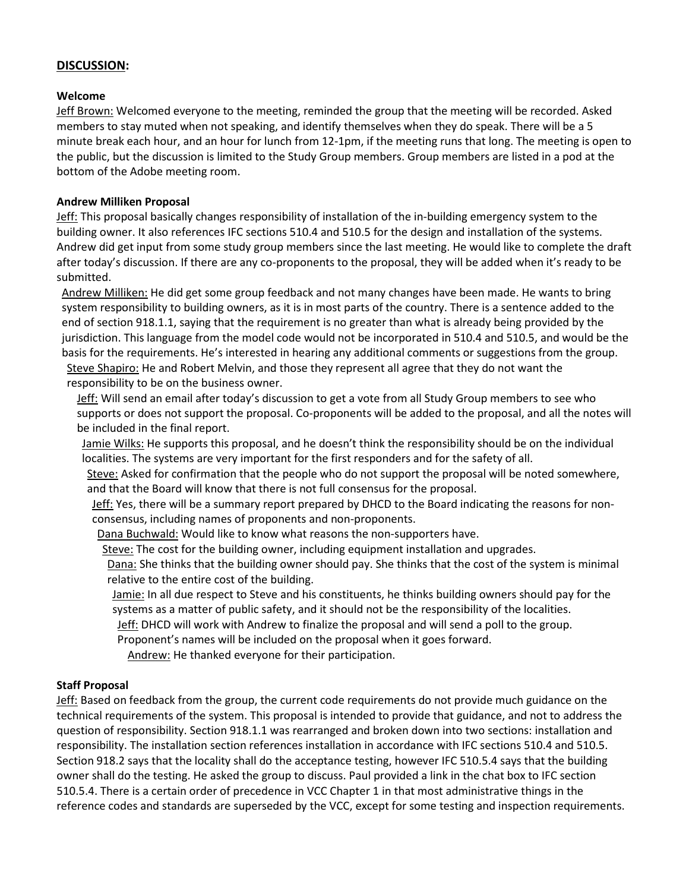### **DISCUSSION:**

#### **Welcome**

Jeff Brown: Welcomed everyone to the meeting, reminded the group that the meeting will be recorded. Asked members to stay muted when not speaking, and identify themselves when they do speak. There will be a 5 minute break each hour, and an hour for lunch from 12-1pm, if the meeting runs that long. The meeting is open to the public, but the discussion is limited to the Study Group members. Group members are listed in a pod at the bottom of the Adobe meeting room.

### **Andrew Milliken Proposal**

Jeff: This proposal basically changes responsibility of installation of the in-building emergency system to the building owner. It also references IFC sections 510.4 and 510.5 for the design and installation of the systems. Andrew did get input from some study group members since the last meeting. He would like to complete the draft after today's discussion. If there are any co-proponents to the proposal, they will be added when it's ready to be submitted.

Andrew Milliken: He did get some group feedback and not many changes have been made. He wants to bring system responsibility to building owners, as it is in most parts of the country. There is a sentence added to the end of section 918.1.1, saying that the requirement is no greater than what is already being provided by the jurisdiction. This language from the model code would not be incorporated in 510.4 and 510.5, and would be the basis for the requirements. He's interested in hearing any additional comments or suggestions from the group. Steve Shapiro: He and Robert Melvin, and those they represent all agree that they do not want the responsibility to be on the business owner.

Jeff: Will send an email after today's discussion to get a vote from all Study Group members to see who supports or does not support the proposal. Co-proponents will be added to the proposal, and all the notes will be included in the final report.

Jamie Wilks: He supports this proposal, and he doesn't think the responsibility should be on the individual localities. The systems are very important for the first responders and for the safety of all.

Steve: Asked for confirmation that the people who do not support the proposal will be noted somewhere, and that the Board will know that there is not full consensus for the proposal.

Jeff: Yes, there will be a summary report prepared by DHCD to the Board indicating the reasons for nonconsensus, including names of proponents and non-proponents.

Dana Buchwald: Would like to know what reasons the non-supporters have.

Steve: The cost for the building owner, including equipment installation and upgrades.

Dana: She thinks that the building owner should pay. She thinks that the cost of the system is minimal relative to the entire cost of the building.

Jamie: In all due respect to Steve and his constituents, he thinks building owners should pay for the systems as a matter of public safety, and it should not be the responsibility of the localities.

Jeff: DHCD will work with Andrew to finalize the proposal and will send a poll to the group.

Proponent's names will be included on the proposal when it goes forward.

Andrew: He thanked everyone for their participation.

### **Staff Proposal**

Jeff: Based on feedback from the group, the current code requirements do not provide much guidance on the technical requirements of the system. This proposal is intended to provide that guidance, and not to address the question of responsibility. Section 918.1.1 was rearranged and broken down into two sections: installation and responsibility. The installation section references installation in accordance with IFC sections 510.4 and 510.5. Section 918.2 says that the locality shall do the acceptance testing, however IFC 510.5.4 says that the building owner shall do the testing. He asked the group to discuss. Paul provided a link in the chat box to IFC section 510.5.4. There is a certain order of precedence in VCC Chapter 1 in that most administrative things in the reference codes and standards are superseded by the VCC, except for some testing and inspection requirements.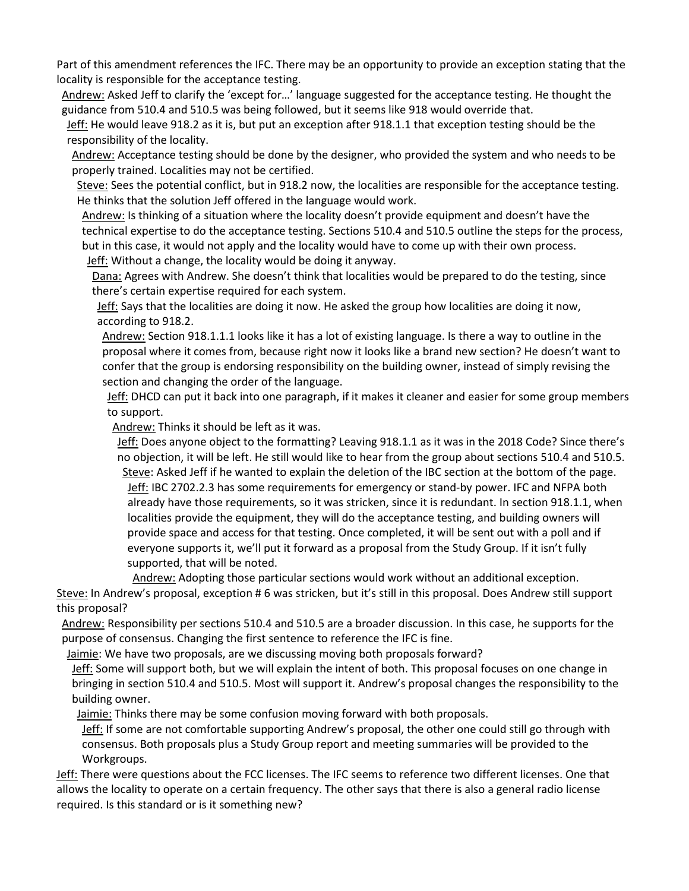Part of this amendment references the IFC. There may be an opportunity to provide an exception stating that the locality is responsible for the acceptance testing.

Andrew: Asked Jeff to clarify the 'except for…' language suggested for the acceptance testing. He thought the guidance from 510.4 and 510.5 was being followed, but it seems like 918 would override that.

Jeff: He would leave 918.2 as it is, but put an exception after 918.1.1 that exception testing should be the responsibility of the locality.

Andrew: Acceptance testing should be done by the designer, who provided the system and who needs to be properly trained. Localities may not be certified.

Steve: Sees the potential conflict, but in 918.2 now, the localities are responsible for the acceptance testing. He thinks that the solution Jeff offered in the language would work.

Andrew: Is thinking of a situation where the locality doesn't provide equipment and doesn't have the technical expertise to do the acceptance testing. Sections 510.4 and 510.5 outline the steps for the process, but in this case, it would not apply and the locality would have to come up with their own process. Jeff: Without a change, the locality would be doing it anyway.

Dana: Agrees with Andrew. She doesn't think that localities would be prepared to do the testing, since there's certain expertise required for each system.

Jeff: Says that the localities are doing it now. He asked the group how localities are doing it now, according to 918.2.

Andrew: Section 918.1.1.1 looks like it has a lot of existing language. Is there a way to outline in the proposal where it comes from, because right now it looks like a brand new section? He doesn't want to confer that the group is endorsing responsibility on the building owner, instead of simply revising the section and changing the order of the language.

Jeff: DHCD can put it back into one paragraph, if it makes it cleaner and easier for some group members to support.

Andrew: Thinks it should be left as it was.

Jeff: Does anyone object to the formatting? Leaving 918.1.1 as it was in the 2018 Code? Since there's no objection, it will be left. He still would like to hear from the group about sections 510.4 and 510.5. Steve: Asked Jeff if he wanted to explain the deletion of the IBC section at the bottom of the page. Jeff: IBC 2702.2.3 has some requirements for emergency or stand-by power. IFC and NFPA both already have those requirements, so it was stricken, since it is redundant. In section 918.1.1, when localities provide the equipment, they will do the acceptance testing, and building owners will provide space and access for that testing. Once completed, it will be sent out with a poll and if everyone supports it, we'll put it forward as a proposal from the Study Group. If it isn't fully supported, that will be noted.

Andrew: Adopting those particular sections would work without an additional exception. Steve: In Andrew's proposal, exception # 6 was stricken, but it's still in this proposal. Does Andrew still support this proposal?

Andrew: Responsibility per sections 510.4 and 510.5 are a broader discussion. In this case, he supports for the purpose of consensus. Changing the first sentence to reference the IFC is fine.

Jaimie: We have two proposals, are we discussing moving both proposals forward?

Jeff: Some will support both, but we will explain the intent of both. This proposal focuses on one change in bringing in section 510.4 and 510.5. Most will support it. Andrew's proposal changes the responsibility to the building owner.

Jaimie: Thinks there may be some confusion moving forward with both proposals.

Jeff: If some are not comfortable supporting Andrew's proposal, the other one could still go through with consensus. Both proposals plus a Study Group report and meeting summaries will be provided to the Workgroups.

Jeff: There were questions about the FCC licenses. The IFC seems to reference two different licenses. One that allows the locality to operate on a certain frequency. The other says that there is also a general radio license required. Is this standard or is it something new?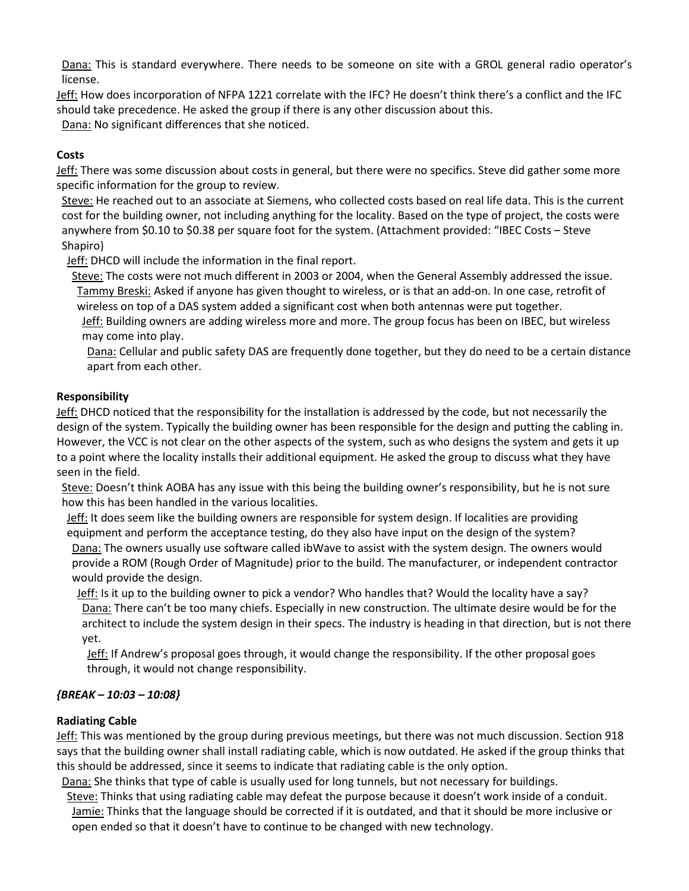Dana: This is standard everywhere. There needs to be someone on site with a GROL general radio operator's license.

Jeff: How does incorporation of NFPA 1221 correlate with the IFC? He doesn't think there's a conflict and the IFC should take precedence. He asked the group if there is any other discussion about this.

Dana: No significant differences that she noticed.

# **Costs**

Jeff: There was some discussion about costs in general, but there were no specifics. Steve did gather some more specific information for the group to review.

Steve: He reached out to an associate at Siemens, who collected costs based on real life data. This is the current cost for the building owner, not including anything for the locality. Based on the type of project, the costs were anywhere from \$0.10 to \$0.38 per square foot for the system. (Attachment provided: "IBEC Costs – Steve Shapiro)

Jeff: DHCD will include the information in the final report.

Steve: The costs were not much different in 2003 or 2004, when the General Assembly addressed the issue. Tammy Breski: Asked if anyone has given thought to wireless, or is that an add-on. In one case, retrofit of wireless on top of a DAS system added a significant cost when both antennas were put together.

Jeff: Building owners are adding wireless more and more. The group focus has been on IBEC, but wireless may come into play.

Dana: Cellular and public safety DAS are frequently done together, but they do need to be a certain distance apart from each other.

### **Responsibility**

Jeff: DHCD noticed that the responsibility for the installation is addressed by the code, but not necessarily the design of the system. Typically the building owner has been responsible for the design and putting the cabling in. However, the VCC is not clear on the other aspects of the system, such as who designs the system and gets it up to a point where the locality installs their additional equipment. He asked the group to discuss what they have seen in the field.

Steve: Doesn't think AOBA has any issue with this being the building owner's responsibility, but he is not sure how this has been handled in the various localities.

Jeff: It does seem like the building owners are responsible for system design. If localities are providing equipment and perform the acceptance testing, do they also have input on the design of the system?

Dana: The owners usually use software called ibWave to assist with the system design. The owners would provide a ROM (Rough Order of Magnitude) prior to the build. The manufacturer, or independent contractor would provide the design.

Jeff: Is it up to the building owner to pick a vendor? Who handles that? Would the locality have a say? Dana: There can't be too many chiefs. Especially in new construction. The ultimate desire would be for the architect to include the system design in their specs. The industry is heading in that direction, but is not there yet.

Jeff: If Andrew's proposal goes through, it would change the responsibility. If the other proposal goes through, it would not change responsibility.

# *{BREAK – 10:03 – 10:08}*

### **Radiating Cable**

Jeff: This was mentioned by the group during previous meetings, but there was not much discussion. Section 918 says that the building owner shall install radiating cable, which is now outdated. He asked if the group thinks that this should be addressed, since it seems to indicate that radiating cable is the only option.

Dana: She thinks that type of cable is usually used for long tunnels, but not necessary for buildings.

Steve: Thinks that using radiating cable may defeat the purpose because it doesn't work inside of a conduit. Jamie: Thinks that the language should be corrected if it is outdated, and that it should be more inclusive or open ended so that it doesn't have to continue to be changed with new technology.